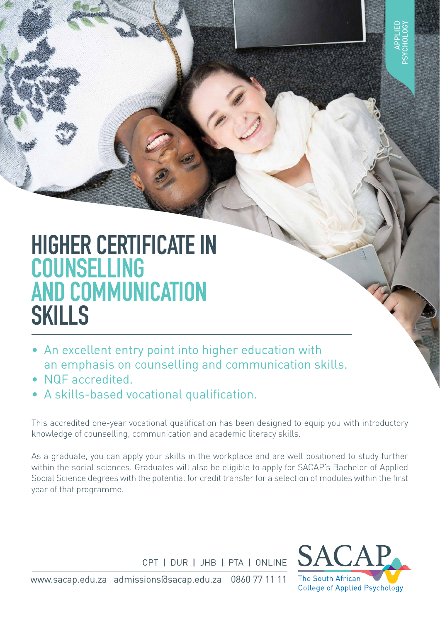# **HIGHER CERTIFICATE IN COUNSELLING AND COMMUNICATION SKILLS**

- An excellent entry point into higher education with an emphasis on counselling and communication skills.
- NQF accredited.
- A skills-based vocational qualification.

This accredited one-year vocational qualification has been designed to equip you with introductory knowledge of counselling, communication and academic literacy skills.

As a graduate, you can apply your skills in the workplace and are well positioned to study further within the social sciences. Graduates will also be eligible to apply for SACAP's Bachelor of Applied Social Science degrees with the potential for credit transfer for a selection of modules within the first year of that programme.

CPT I DUR I JHB I PTA I ONLINE



www.sacap.edu.za admissions@sacap.edu.za 0860 77 11 11